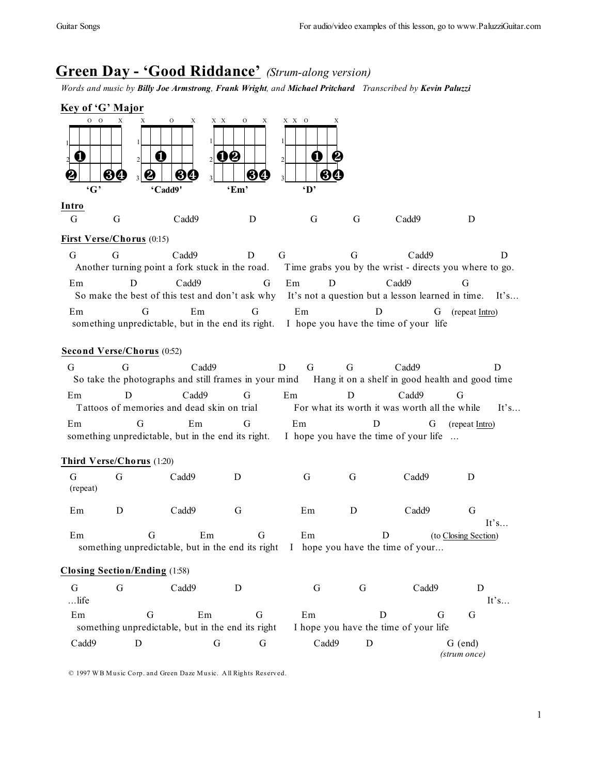# **Green Day - 'Good Riddance'** *(Strum-along version)*

*Words and music by Billy Joe Armstrong, Frank Wright, and Michael Pritchard Transcribed by Kevin Paluzzi*



#### **First Verse/Chorus** (0:15)

G G Cadd9 D G G Cadd9 D Another turning point a fork stuck in the road. Time grabs you by the wrist - directs you where to go. Em D Cadd9 G Em D Cadd9 G So make the best of this test and don't ask why It's not a question but a lesson learned in time. It's... Em G Em G Em D G (repeat Intro) something unpredictable, but in the end its right. I hope you have the time of your life

#### **Second Verse/Chorus** (0:52)

|    |                                                       | Cadd9 |    |  | Cadd9                                         |                                                 |      |
|----|-------------------------------------------------------|-------|----|--|-----------------------------------------------|-------------------------------------------------|------|
|    | So take the photographs and still frames in your mind |       |    |  |                                               | Hang it on a shelf in good health and good time |      |
| Em |                                                       | Cadd9 | Em |  | Cadd9                                         |                                                 |      |
|    | Tattoos of memories and dead skin on trial            |       |    |  | For what its worth it was worth all the while |                                                 | It's |
| Em |                                                       | Em    | Em |  |                                               | (repeat Intro)                                  |      |
|    | something unpredictable, but in the end its right.    |       |    |  | I hope you have the time of your life         |                                                 |      |

#### **Third Verse/Chorus** (1:20)

| G<br>(repeat) | G | Cadd9 |   | G  | G | Cadd9 | D         |
|---------------|---|-------|---|----|---|-------|-----------|
| Em            |   | Cadd9 | G | Em | D | Cadd9 | G<br>It's |

Em G Em G Em D (to Closing Section) something unpredictable, but in the end its right I hope you have the time of your...

### **Closing Section/Ending** (1:58)

| G       | Cadd9                                             |       | Cadd9                                 |              |      |
|---------|---------------------------------------------------|-------|---------------------------------------|--------------|------|
| $$ life |                                                   |       |                                       |              | It's |
| Em      | Em                                                | Em    |                                       | КŤ           |      |
|         | something unpredictable, but in the end its right |       | I hope you have the time of your life |              |      |
| Cadd9   |                                                   | Cadd9 |                                       | G (end)      |      |
|         |                                                   |       |                                       | (strum once) |      |

© 1997 W B M usic Corp. and Green Daze Music. A ll Rights Res erved.